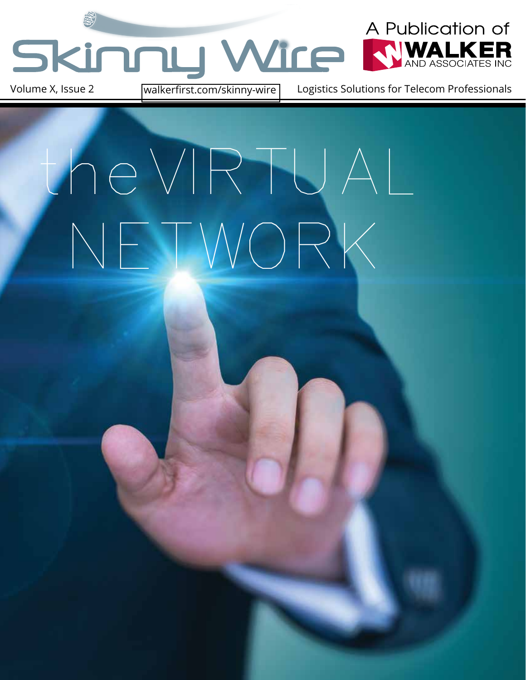